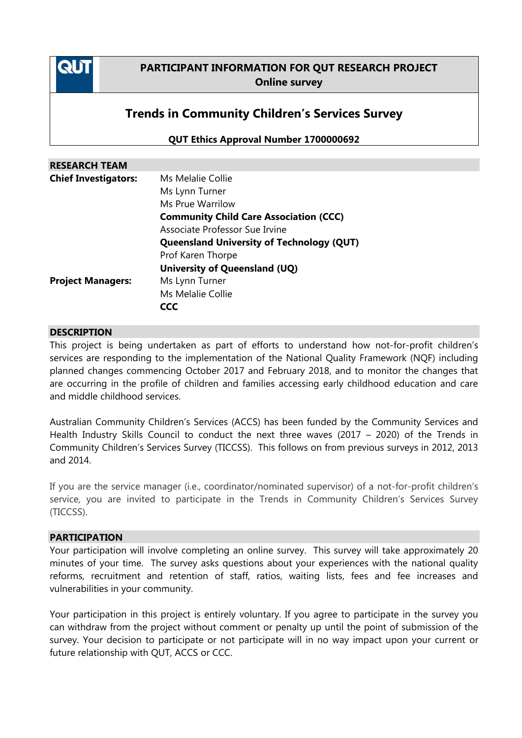

## **PARTICIPANT INFORMATION FOR QUT RESEARCH PROJECT Online survey**

# **Trends in Community Children's Services Survey**

**QUT Ethics Approval Number 1700000692**

| <b>RESEARCH TEAM</b>        |                                                  |
|-----------------------------|--------------------------------------------------|
| <b>Chief Investigators:</b> | Ms Melalie Collie                                |
|                             | Ms Lynn Turner                                   |
|                             | Ms Prue Warrilow                                 |
|                             | <b>Community Child Care Association (CCC)</b>    |
|                             | Associate Professor Sue Irvine                   |
|                             | <b>Queensland University of Technology (QUT)</b> |
|                             | Prof Karen Thorpe                                |
|                             | University of Queensland (UQ)                    |
| <b>Project Managers:</b>    | Ms Lynn Turner                                   |
|                             | Ms Melalie Collie                                |
|                             | CCC                                              |

#### **DESCRIPTION**

This project is being undertaken as part of efforts to understand how not-for-profit children's services are responding to the implementation of the National Quality Framework (NQF) including planned changes commencing October 2017 and February 2018, and to monitor the changes that are occurring in the profile of children and families accessing early childhood education and care and middle childhood services.

Australian Community Children's Services (ACCS) has been funded by the Community Services and Health Industry Skills Council to conduct the next three waves (2017 – 2020) of the Trends in Community Children's Services Survey (TICCSS). This follows on from previous surveys in 2012, 2013 and 2014.

If you are the service manager (i.e., coordinator/nominated supervisor) of a not-for-profit children's service, you are invited to participate in the Trends in Community Children's Services Survey (TICCSS).

#### **PARTICIPATION**

Your participation will involve completing an online survey. This survey will take approximately 20 minutes of your time. The survey asks questions about your experiences with the national quality reforms, recruitment and retention of staff, ratios, waiting lists, fees and fee increases and vulnerabilities in your community.

Your participation in this project is entirely voluntary. If you agree to participate in the survey you can withdraw from the project without comment or penalty up until the point of submission of the survey. Your decision to participate or not participate will in no way impact upon your current or future relationship with QUT, ACCS or CCC.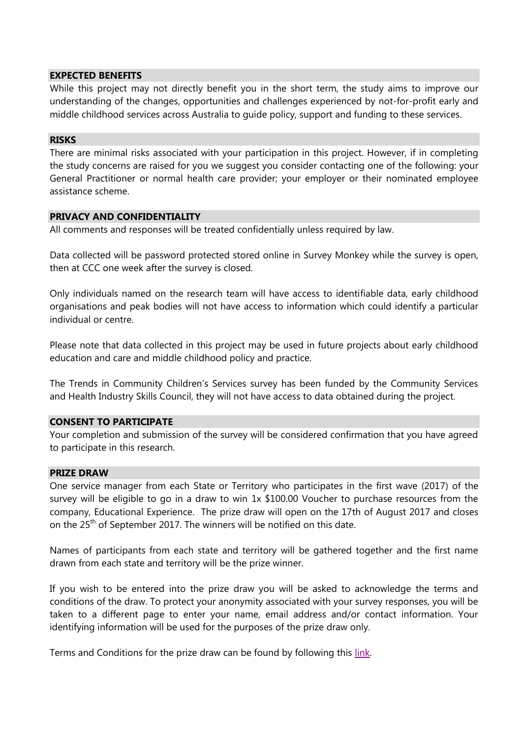#### **EXPECTED BENEFITS**

While this project may not directly benefit you in the short term, the study aims to improve our understanding of the changes, opportunities and challenges experienced by not-for-profit early and middle childhood services across Australia to guide policy, support and funding to these services.

#### **RISKS**

There are minimal risks associated with your participation in this project. However, if in completing the study concerns are raised for you we suggest you consider contacting one of the following: your General Practitioner or normal health care provider; your employer or their nominated employee assistance scheme.

#### **PRIVACY AND CONFIDENTIALITY**

All comments and responses will be treated confidentially unless required by law.

Data collected will be password protected stored online in Survey Monkey while the survey is open, then at CCC one week after the survey is closed.

Only individuals named on the research team will have access to identifiable data, early childhood organisations and peak bodies will not have access to information which could identify a particular individual or centre.

Please note that data collected in this project may be used in future projects about early childhood education and care and middle childhood policy and practice.

The Trends in Community Children's Services survey has been funded by the Community Services and Health Industry Skills Council, they will not have access to data obtained during the project.

#### **CONSENT TO PARTICIPATE**

Your completion and submission of the survey will be considered confirmation that you have agreed to participate in this research.

#### **PRIZE DRAW**

One service manager from each State or Territory who participates in the first wave (2017) of the survey will be eligible to go in a draw to win 1x \$100.00 Voucher to purchase resources from the company, Educational Experience. The prize draw will open on the 17th of August 2017 and closes on the 25<sup>th</sup> of September 2017. The winners will be notified on this date.

Names of participants from each state and territory will be gathered together and the first name drawn from each state and territory will be the prize winner.

If you wish to be entered into the prize draw you will be asked to acknowledge the terms and conditions of the draw. To protect your anonymity associated with your survey responses, you will be taken to a different page to enter your name, email address and/or contact information. Your identifying information will be used for the purposes of the prize draw only.

Terms and Conditions for the prize draw can be found by following this [link.](http://ausccs.org.au/wp-content/uploads/2017/08/TICCSS_TC.pdf)